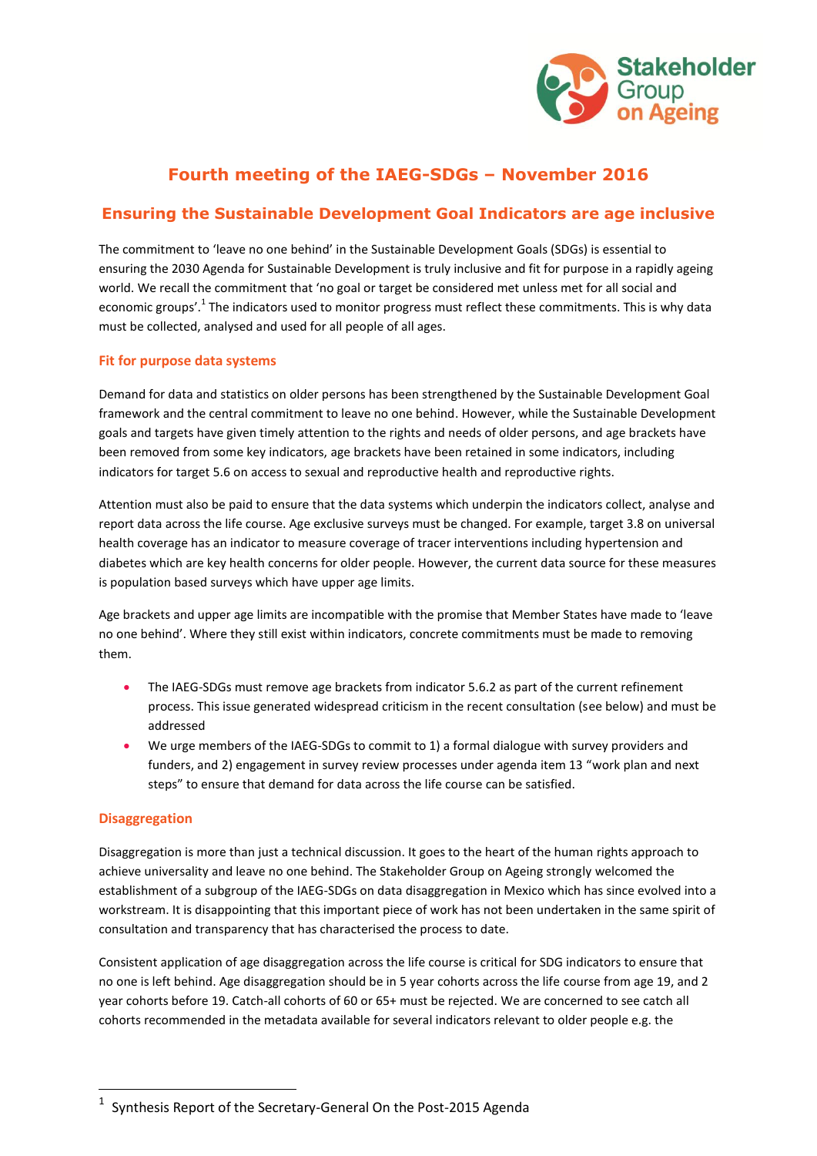

# **Fourth meeting of the IAEG-SDGs – November 2016**

## **Ensuring the Sustainable Development Goal Indicators are age inclusive**

The commitment to 'leave no one behind' in the Sustainable Development Goals (SDGs) is essential to ensuring the 2030 Agenda for Sustainable Development is truly inclusive and fit for purpose in a rapidly ageing world. We recall the commitment that 'no goal or target be considered met unless met for all social and economic groups'.<sup>1</sup> The indicators used to monitor progress must reflect these commitments. This is why data must be collected, analysed and used for all people of all ages.

### **Fit for purpose data systems**

Demand for data and statistics on older persons has been strengthened by the Sustainable Development Goal framework and the central commitment to leave no one behind. However, while the Sustainable Development goals and targets have given timely attention to the rights and needs of older persons, and age brackets have been removed from some key indicators, age brackets have been retained in some indicators, including indicators for target 5.6 on access to sexual and reproductive health and reproductive rights.

Attention must also be paid to ensure that the data systems which underpin the indicators collect, analyse and report data across the life course. Age exclusive surveys must be changed. For example, target 3.8 on universal health coverage has an indicator to measure coverage of tracer interventions including hypertension and diabetes which are key health concerns for older people. However, the current data source for these measures is population based surveys which have upper age limits.

Age brackets and upper age limits are incompatible with the promise that Member States have made to 'leave no one behind'. Where they still exist within indicators, concrete commitments must be made to removing them.

- The IAEG-SDGs must remove age brackets from indicator 5.6.2 as part of the current refinement process. This issue generated widespread criticism in the recent consultation (see below) and must be addressed
- We urge members of the IAEG-SDGs to commit to 1) a formal dialogue with survey providers and funders, and 2) engagement in survey review processes under agenda item 13 "work plan and next steps" to ensure that demand for data across the life course can be satisfied.

#### **Disaggregation**

 $\overline{\phantom{a}}$ 

Disaggregation is more than just a technical discussion. It goes to the heart of the human rights approach to achieve universality and leave no one behind. The Stakeholder Group on Ageing strongly welcomed the establishment of a subgroup of the IAEG-SDGs on data disaggregation in Mexico which has since evolved into a workstream. It is disappointing that this important piece of work has not been undertaken in the same spirit of consultation and transparency that has characterised the process to date.

Consistent application of age disaggregation across the life course is critical for SDG indicators to ensure that no one is left behind. Age disaggregation should be in 5 year cohorts across the life course from age 19, and 2 year cohorts before 19. Catch-all cohorts of 60 or 65+ must be rejected. We are concerned to see catch all cohorts recommended in the metadata available for several indicators relevant to older people e.g. the

<sup>1</sup> Synthesis Report of the Secretary-General On the Post-2015 Agenda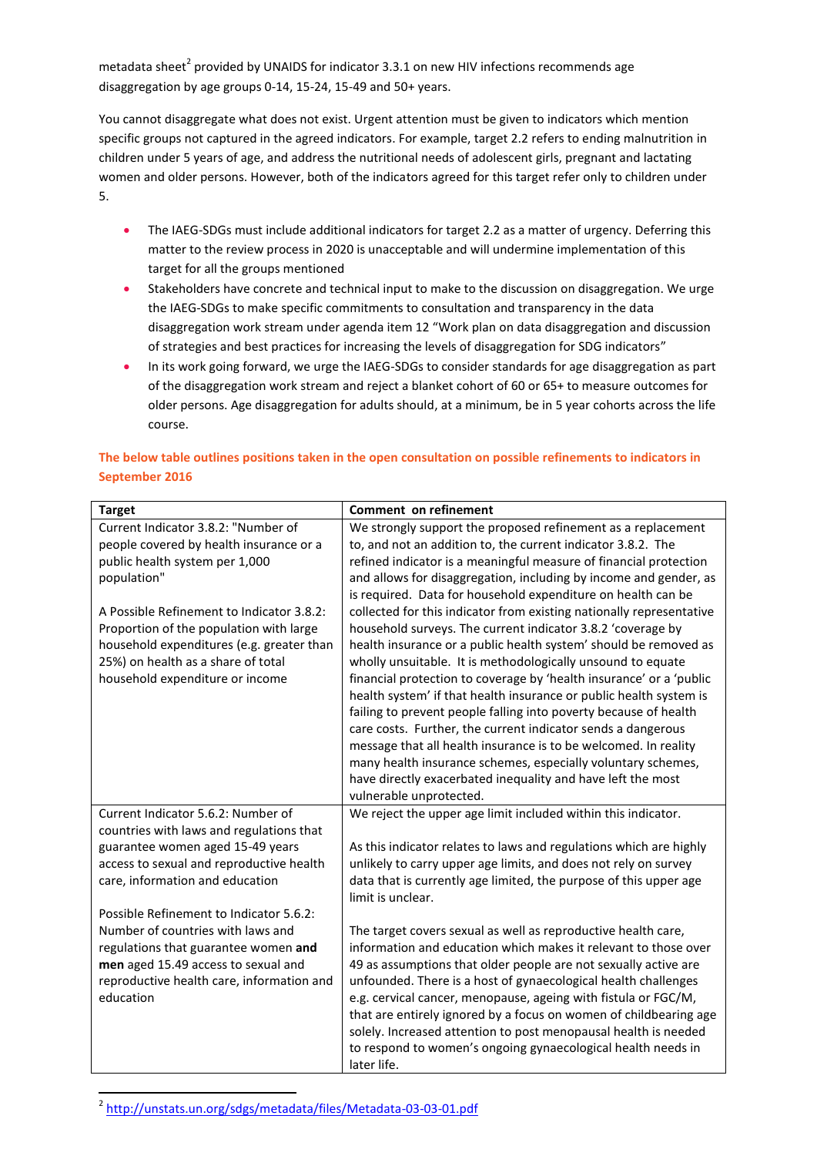metadata sheet<sup>2</sup> provided by UNAIDS for indicator 3.3.1 on new HIV infections recommends age disaggregation by age groups 0-14, 15-24, 15-49 and 50+ years.

You cannot disaggregate what does not exist. Urgent attention must be given to indicators which mention specific groups not captured in the agreed indicators. For example, target 2.2 refers to ending malnutrition in children under 5 years of age, and address the nutritional needs of adolescent girls, pregnant and lactating women and older persons. However, both of the indicators agreed for this target refer only to children under 5.

- The IAEG-SDGs must include additional indicators for target 2.2 as a matter of urgency. Deferring this matter to the review process in 2020 is unacceptable and will undermine implementation of this target for all the groups mentioned
- Stakeholders have concrete and technical input to make to the discussion on disaggregation. We urge the IAEG-SDGs to make specific commitments to consultation and transparency in the data disaggregation work stream under agenda item 12 "Work plan on data disaggregation and discussion of strategies and best practices for increasing the levels of disaggregation for SDG indicators"
- In its work going forward, we urge the IAEG-SDGs to consider standards for age disaggregation as part of the disaggregation work stream and reject a blanket cohort of 60 or 65+ to measure outcomes for older persons. Age disaggregation for adults should, at a minimum, be in 5 year cohorts across the life course.

| <b>Target</b>                                                               | <b>Comment on refinement</b>                                                                                                          |
|-----------------------------------------------------------------------------|---------------------------------------------------------------------------------------------------------------------------------------|
| Current Indicator 3.8.2: "Number of                                         | We strongly support the proposed refinement as a replacement                                                                          |
| people covered by health insurance or a                                     | to, and not an addition to, the current indicator 3.8.2. The                                                                          |
| public health system per 1,000                                              | refined indicator is a meaningful measure of financial protection                                                                     |
| population"                                                                 | and allows for disaggregation, including by income and gender, as                                                                     |
|                                                                             | is required. Data for household expenditure on health can be                                                                          |
| A Possible Refinement to Indicator 3.8.2:                                   | collected for this indicator from existing nationally representative                                                                  |
| Proportion of the population with large                                     | household surveys. The current indicator 3.8.2 'coverage by                                                                           |
| household expenditures (e.g. greater than                                   | health insurance or a public health system' should be removed as                                                                      |
| 25%) on health as a share of total                                          | wholly unsuitable. It is methodologically unsound to equate                                                                           |
| household expenditure or income                                             | financial protection to coverage by 'health insurance' or a 'public                                                                   |
|                                                                             | health system' if that health insurance or public health system is                                                                    |
|                                                                             | failing to prevent people falling into poverty because of health                                                                      |
|                                                                             | care costs. Further, the current indicator sends a dangerous                                                                          |
|                                                                             | message that all health insurance is to be welcomed. In reality                                                                       |
|                                                                             | many health insurance schemes, especially voluntary schemes,                                                                          |
|                                                                             | have directly exacerbated inequality and have left the most                                                                           |
|                                                                             | vulnerable unprotected.                                                                                                               |
| Current Indicator 5.6.2: Number of                                          | We reject the upper age limit included within this indicator.                                                                         |
| countries with laws and regulations that                                    |                                                                                                                                       |
| guarantee women aged 15-49 years                                            | As this indicator relates to laws and regulations which are highly<br>unlikely to carry upper age limits, and does not rely on survey |
| access to sexual and reproductive health<br>care, information and education | data that is currently age limited, the purpose of this upper age                                                                     |
|                                                                             | limit is unclear.                                                                                                                     |
| Possible Refinement to Indicator 5.6.2:                                     |                                                                                                                                       |
| Number of countries with laws and                                           | The target covers sexual as well as reproductive health care,                                                                         |
| regulations that guarantee women and                                        | information and education which makes it relevant to those over                                                                       |
| men aged 15.49 access to sexual and                                         | 49 as assumptions that older people are not sexually active are                                                                       |
| reproductive health care, information and                                   | unfounded. There is a host of gynaecological health challenges                                                                        |
| education                                                                   | e.g. cervical cancer, menopause, ageing with fistula or FGC/M,                                                                        |
|                                                                             | that are entirely ignored by a focus on women of childbearing age                                                                     |
|                                                                             | solely. Increased attention to post menopausal health is needed                                                                       |
|                                                                             | to respond to women's ongoing gynaecological health needs in                                                                          |
|                                                                             | later life.                                                                                                                           |

### **The below table outlines positions taken in the open consultation on possible refinements to indicators in September 2016**

1

<sup>&</sup>lt;sup>2</sup> <http://unstats.un.org/sdgs/metadata/files/Metadata-03-03-01.pdf>